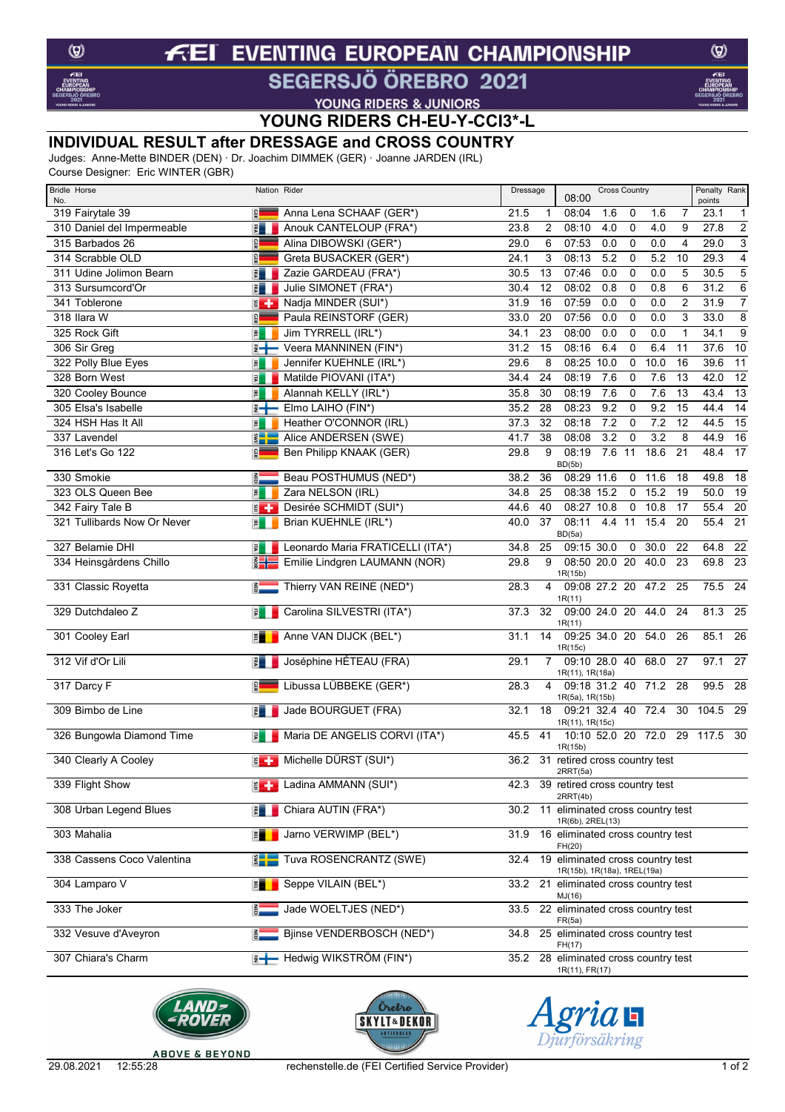#### $\circledcirc$

### **EVENTING EUROPEAN CHAMPIONSHIP**  $f$ El

SEGERSJÖ ÖREBRO 2021

YOUNG RIDERS & JUNIORS

### **YOUNG RIDERS CH-EU-Y-CCI3\*-L**

#### **INDIVIDUAL RESULT after DRESSAGE and CROSS COUNTRY**

Judges: Anne-Mette BINDER (DEN) · Dr. Joachim DIMMEK (GER) · Joanne JARDEN (IRL)

Course Designer: Eric WINTER (GBR)

| <b>Bridle Horse</b><br>No.  | Nation Rider                                   | Dressage               | <b>Cross Country</b><br>08:00                                   | Penalty Rank<br>points                   |
|-----------------------------|------------------------------------------------|------------------------|-----------------------------------------------------------------|------------------------------------------|
| 319 Fairytale 39            | Anna Lena SCHAAF (GER*)<br>$\frac{1}{2}$       | 21.5<br>1              | 08:04<br>1.6<br>0<br>1.6                                        | $\mathbf{1}$<br>7<br>23.1                |
| 310 Daniel del Impermeable  | $\frac{1}{\sqrt{2}}$<br>Anouk CANTELOUP (FRA*) | 23.8<br>$\overline{2}$ | 08:10<br>4.0<br>$\mathbf 0$<br>4.0                              | $\overline{2}$<br>9<br>27.8              |
| 315 Barbados 26             | <b>GER</b><br>Alina DIBOWSKI (GER*)            | 29.0<br>6              | 07:53<br>0.0<br>0<br>0.0                                        | $\overline{\overline{3}}$<br>4<br>29.0   |
| 314 Scrabble OLD            | <b>GER</b><br>Greta BUSACKER (GER*)            | 24.1<br>3              | 08:13<br>5.2<br>$\mathbf 0$<br>5.2                              | $\overline{4}$<br>29.3<br>10             |
| 311 Udine Jolimon Bearn     | $\frac{1}{\sqrt{5}}$<br>Zazie GARDEAU (FRA*)   | 30.5<br>13             | 07:46<br>0.0<br>0.0<br>0                                        | $\overline{5}$<br>5<br>30.5              |
| 313 Sursumcord'Or           | Julie SIMONET (FRA*)<br>图                      | 12<br>30.4             | 08:02<br>0.8<br>0.8<br>$\mathbf 0$                              | 6<br>31.2<br>6                           |
| 341 Toblerone               | Nadja MINDER (SUI*)<br>$E -$                   | 31.9<br>16             | 07:59<br>0.0<br>$\mathbf 0$<br>0.0                              | $\overline{c}$<br>$\overline{7}$<br>31.9 |
| 318 Ilara W                 | <b>GER</b><br>Paula REINSTORF (GER)            | 33.0<br>20             | 07:56<br>0.0<br>0.0<br>0                                        | $\overline{8}$<br>3<br>33.0              |
| 325 Rock Gift               | Jim TYRRELL (IRL*)<br>国                        | 34.1<br>23             | 08:00<br>0.0<br>0.0<br>0                                        | $\overline{9}$<br>1<br>34.1              |
| 306 Sir Greg                | Veera MANNINEN (FIN*)<br>₹₩                    | 31.2<br>15             | 08:16<br>6.4<br>6.4<br>0                                        | 10<br>37.6<br>11                         |
| 322 Polly Blue Eyes         | Jennifer KUEHNLE (IRL*)<br>国                   | 29.6<br>8              | 08:25<br>10.0<br>$\mathbf 0$<br>10.0                            | 39.6<br>11<br>16                         |
| 328 Born West               | 国<br>Matilde PIOVANI (ITA*)                    | 34.4<br>24             | 7.6<br>08:19<br>$\mathbf 0$<br>7.6                              | 13<br>42.0<br>$\overline{12}$            |
| 320 Cooley Bounce           | $\overline{p}$<br>Alannah KELLY (IRL*)         | 35.8<br>30             | 7.6<br>08:19<br>$\mathbf 0$<br>7.6                              | $\overline{13}$<br>13<br>43.4            |
| 305 Elsa's Isabelle         | $\overline{z}$ +<br>Elmo LAIHO (FIN*)<br>۰     | 35.2<br>28             | 9.2<br>08:23<br>9.2<br>0                                        | 15<br>$\overline{14}$<br>44.4            |
| 324 HSH Has It All          | Heather O'CONNOR (IRL)<br>$\overline{B}$       | 37.3<br>32             | 7.2<br>08:18<br>7.2<br>0                                        | $\overline{15}$<br>12<br>44.5            |
| 337 Lavendel                | $\mathbf{E}$<br>Alice ANDERSEN (SWE)           | 41.7<br>38             | 3.2<br>3.2<br>08:08<br>$\mathbf 0$                              | 16<br>8<br>44.9                          |
| 316 Let's Go 122            | Ben Philipp KNAAK (GER)<br><b>GER</b>          | 29.8<br>9              | 08:19<br>7.6 11<br>18.6                                         | 17<br>21<br>48.4                         |
|                             |                                                |                        | BD(5b)                                                          |                                          |
| 330 Smokie                  | <b>NED</b><br>Beau POSTHUMUS (NED*)            | 38.2<br>36             | 11.6<br>08:29 11.6<br>$\mathbf 0$                               | 49.8<br>$\overline{18}$<br>18            |
| 323 OLS Queen Bee           | Zara NELSON (IRL)<br>$\overline{P}$            | 34.8<br>25             | 15.2<br>08:38 15.2<br>$\mathbf 0$                               | 50.0<br>$\overline{19}$<br>19            |
| 342 Fairy Tale B            | Desirée SCHMIDT (SUI*)<br>$E -$                | 44.6<br>40             | 08:27<br>10.8<br>10.8<br>$\mathbf 0$                            | 55.4<br>20<br>17                         |
| 321 Tullibards Now Or Never | Brian KUEHNLE (IRL*)<br>国                      | 37<br>40.0             | 15.4<br>08:11<br>4.4 11<br>BD(5a)                               | 55.4<br>20<br>21                         |
| 327 Belamie DHI             | Leonardo Maria FRATICELLI (ITA*)<br>国          | 34.8<br>25             | 09:15 30.0<br>30.0<br>$\mathbf 0$                               | $\overline{22}$<br>22<br>64.8            |
| 334 Heinsgårdens Chillo     | Emilie Lindgren LAUMANN (NOR)<br>$rac{1}{2}$   | 29.8<br>9              | 08:50 20.0 20<br>40.0<br>1R(15b)                                | 23<br>69.8<br>23                         |
| 331 Classic Royetta         | Thierry VAN REINE (NED*)<br>$rac{2}{9}$        | 28.3<br>4              | 09:08 27.2 20 47.2 25<br>1R(11)                                 | $75.5$ 24                                |
| 329 Dutchdaleo Z            | Carolina SILVESTRI (ITA*)<br>国                 | 32<br>37.3             | 09:00 24.0 20 44.0<br>1R(11)                                    | $81.3$ 25<br>24                          |
| 301 Cooley Earl             | Anne VAN DIJCK (BEL*)<br>F                     | 31.1<br>14             | 09:25 34.0 20 54.0<br>1R(15c)                                   | 26<br>26<br>85.1                         |
| 312 Vif d'Or Lili           | Joséphine HÉTEAU (FRA)<br>FRA                  | $\overline{7}$<br>29.1 | 09:10 28.0 40<br>68.0<br>1R(11), 1R(18a)                        | 27<br>97.1<br>27                         |
| 317 Darcy F                 | GER<br>Libussa LÜBBEKE (GER*)                  | 28.3<br>4              | 09:18 31.2 40 71.2 28<br>1R(5a), 1R(15b)                        | 99.5<br>- 28                             |
| 309 Bimbo de Line           | Jade BOURGUET (FRA)<br>$\frac{1}{\sqrt{2}}$    | 32.1<br>18             | 09:21 32.4 40<br>72.4<br>1R(11), 1R(15c)                        | 30<br>104.5<br>29                        |
| 326 Bungowla Diamond Time   | Maria DE ANGELIS CORVI (ITA*)<br>园             | 45.5<br>41             | 10:10 52.0 20 72.0 29 117.5<br>1R(15b)                          | - 30                                     |
| 340 Clearly A Cooley        | Michelle DÜRST (SUI*)<br>图卡                    | 36.2                   | 31 retired cross country test<br>2RRT(5a)                       |                                          |
| 339 Flight Show             | E + Ladina AMMANN (SUI*)                       |                        | 42.3 39 retired cross country test<br>2RRT(4b)                  |                                          |
| 308 Urban Legend Blues      | Chiara AUTIN (FRA*)<br>引                       | 30.2                   | 11 eliminated cross country test<br>1R(6b), 2REL(13)            |                                          |
| 303 Mahalia                 | Jarno VERWIMP (BEL*)<br>置                      | 31.9                   | 16 eliminated cross country test<br>FH(20)                      |                                          |
| 338 Cassens Coco Valentina  | Tuva ROSENCRANTZ (SWE)<br>$rac{2}{3}$          | 32.4                   | 19 eliminated cross country test<br>1R(15b), 1R(18a), 1REL(19a) |                                          |
| 304 Lamparo V               | Seppe VILAIN (BEL*)<br>胃                       | 33.2                   | 21 eliminated cross country test<br>MJ(16)                      |                                          |
| 333 The Joker               | Jade WOELTJES (NED*)<br>$rac{1}{6}$            | 33.5                   | 22 eliminated cross country test<br>FR(5a)                      |                                          |
| 332 Vesuve d'Aveyron        | Bjinse VENDERBOSCH (NED*)<br>$rac{1}{6}$       | 34.8                   | 25 eliminated cross country test<br>FH(17)                      |                                          |
| 307 Chiara's Charm          | Hedwig WIKSTRÖM (FIN*)<br>1≣ —†                | 35.2                   | 28 eliminated cross country test<br>1R(11), FR(17)              |                                          |







**ABOVE & BEYOND** 

 $\circledcirc$